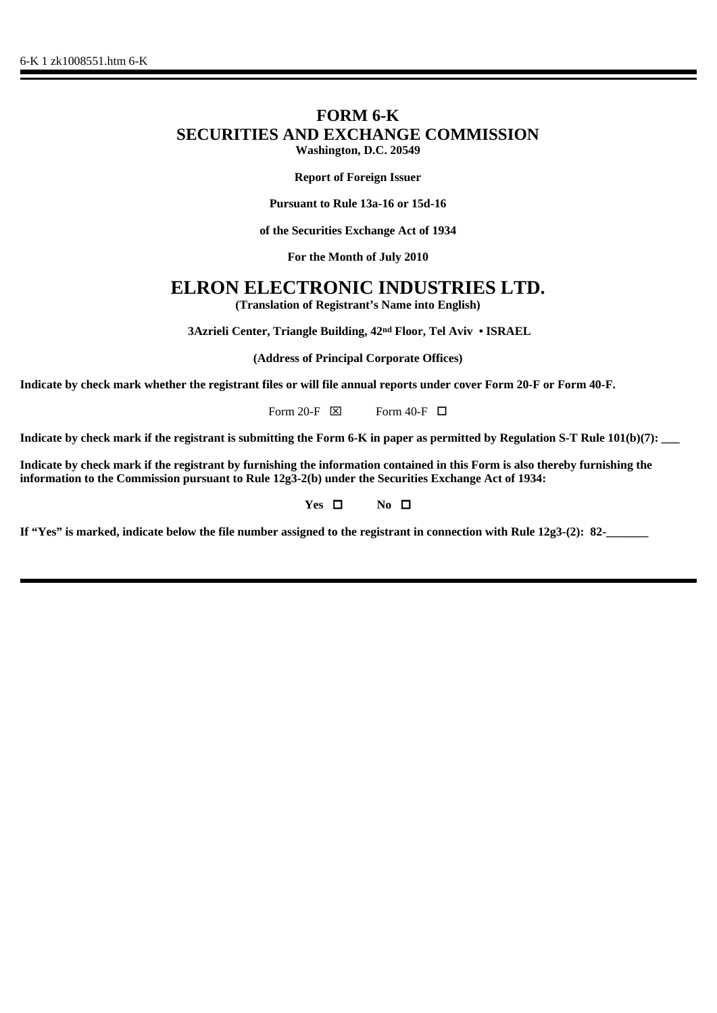## **FORM 6-K SECURITIES AND EXCHANGE COMMISSION Washington, D.C. 20549**

**Report of Foreign Issuer**

**Pursuant to Rule 13a-16 or 15d-16**

**of the Securities Exchange Act of 1934**

**For the Month of July 2010**

# **ELRON ELECTRONIC INDUSTRIES LTD.**

**(Translation of Registrant's Name into English)**

 **3Azrieli Center, Triangle Building, 42nd Floor, Tel Aviv • ISRAEL**

**(Address of Principal Corporate Offices)**

**Indicate by check mark whether the registrant files or will file annual reports under cover Form 20-F or Form 40-F.**

Form 20-F  $\boxtimes$  Form 40-F  $\Box$ 

**Indicate by check mark if the registrant is submitting the Form 6-K in paper as permitted by Regulation S-T Rule 101(b)(7): \_\_\_**

**Indicate by check mark if the registrant by furnishing the information contained in this Form is also thereby furnishing the information to the Commission pursuant to Rule 12g3-2(b) under the Securities Exchange Act of 1934:**

### **Yes □** No □

**If "Yes" is marked, indicate below the file number assigned to the registrant in connection with Rule 12g3-(2): 82-\_\_\_\_\_\_\_**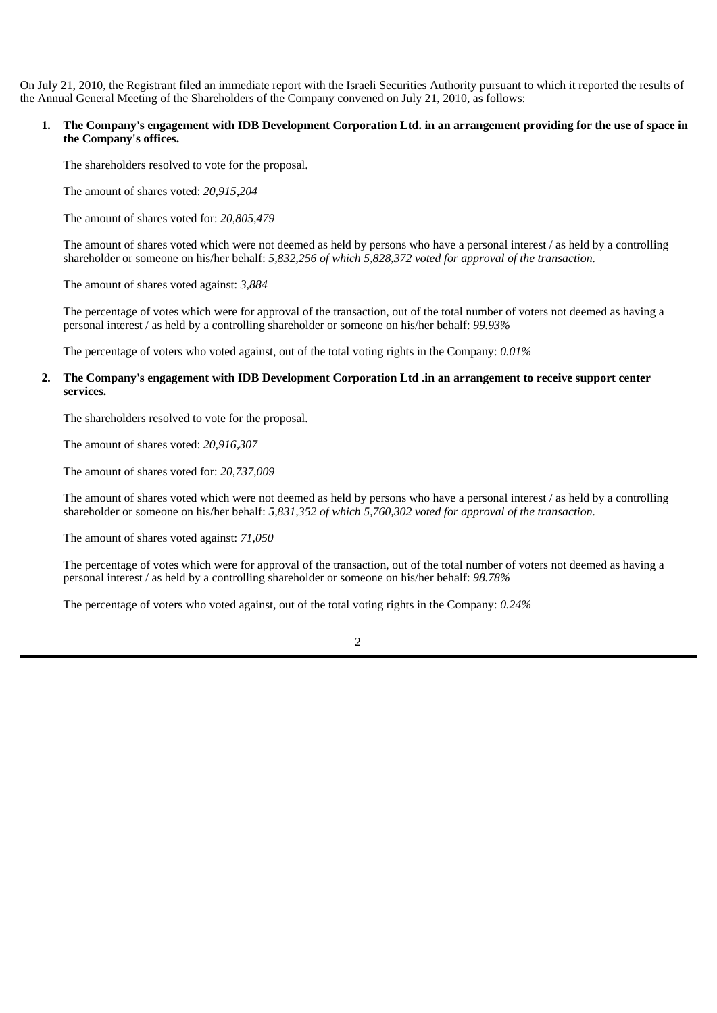On July 21, 2010, the Registrant filed an immediate report with the Israeli Securities Authority pursuant to which it reported the results of the Annual General Meeting of the Shareholders of the Company convened on July 21, 2010, as follows:

#### **1. The Company's engagement with IDB Development Corporation Ltd. in an arrangement providing for the use of space in the Company's offices.**

The shareholders resolved to vote for the proposal.

The amount of shares voted: *20,915,204*

The amount of shares voted for: *20,805,479*

The amount of shares voted which were not deemed as held by persons who have a personal interest / as held by a controlling shareholder or someone on his/her behalf: *5,832,256 of which 5,828,372 voted for approval of the transaction.*

The amount of shares voted against: *3,884*

The percentage of votes which were for approval of the transaction, out of the total number of voters not deemed as having a personal interest / as held by a controlling shareholder or someone on his/her behalf: *99.93%*

The percentage of voters who voted against, out of the total voting rights in the Company: *0.01%*

#### **2. The Company's engagement with IDB Development Corporation Ltd .in an arrangement to receive support center services.**

The shareholders resolved to vote for the proposal.

The amount of shares voted: *20,916,307*

The amount of shares voted for: *20,737,009*

The amount of shares voted which were not deemed as held by persons who have a personal interest / as held by a controlling shareholder or someone on his/her behalf: *5,831,352 of which 5,760,302 voted for approval of the transaction.*

The amount of shares voted against: *71,050*

The percentage of votes which were for approval of the transaction, out of the total number of voters not deemed as having a personal interest / as held by a controlling shareholder or someone on his/her behalf: *98.78%*

The percentage of voters who voted against, out of the total voting rights in the Company: *0.24%*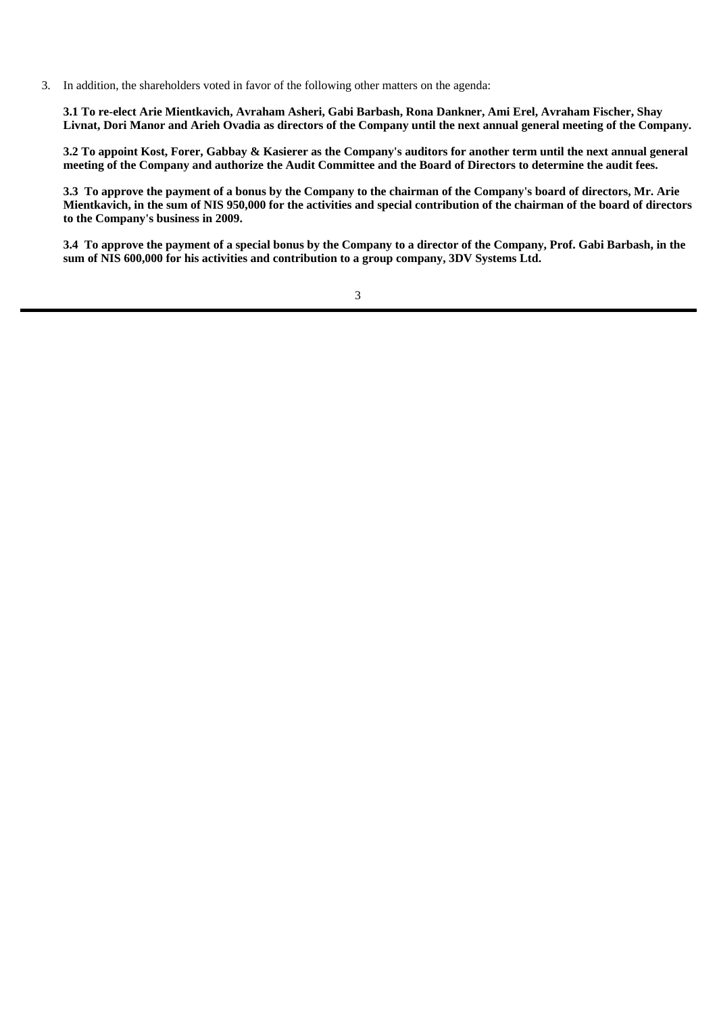3. In addition, the shareholders voted in favor of the following other matters on the agenda:

**3.1 To re-elect Arie Mientkavich, Avraham Asheri, Gabi Barbash, Rona Dankner, Ami Erel, Avraham Fischer, Shay Livnat, Dori Manor and Arieh Ovadia as directors of the Company until the next annual general meeting of the Company.**

**3.2 To appoint Kost, Forer, Gabbay & Kasierer as the Company's auditors for another term until the next annual general meeting of the Company and authorize the Audit Committee and the Board of Directors to determine the audit fees.**

**3.3 To approve the payment of a bonus by the Company to the chairman of the Company's board of directors, Mr. Arie Mientkavich, in the sum of NIS 950,000 for the activities and special contribution of the chairman of the board of directors to the Company's business in 2009.**

**3.4 To approve the payment of a special bonus by the Company to a director of the Company, Prof. Gabi Barbash, in the sum of NIS 600,000 for his activities and contribution to a group company, 3DV Systems Ltd.**

3